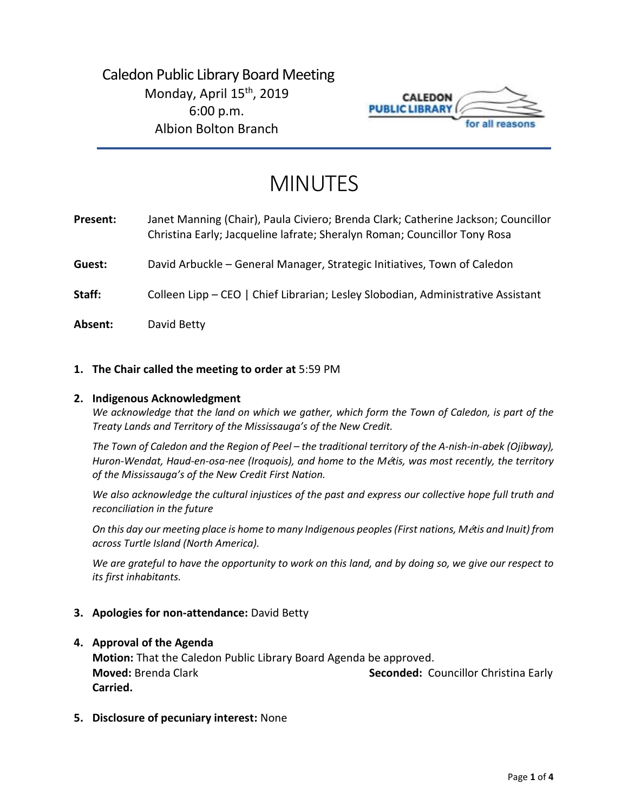# Caledon Public Library Board Meeting Monday, April 15<sup>th</sup>, 2019 6:00 p.m. Albion Bolton Branch



# MINUTES

**Present:** Janet Manning (Chair), Paula Civiero; Brenda Clark; Catherine Jackson; Councillor Christina Early; Jacqueline lafrate; Sheralyn Roman; Councillor Tony Rosa

**Guest:** David Arbuckle – General Manager, Strategic Initiatives, Town of Caledon

**Staff:** Colleen Lipp – CEO | Chief Librarian; Lesley Slobodian, Administrative Assistant

**Absent:** David Betty

#### **1. The Chair called the meeting to order at** 5:59 PM

#### **2. Indigenous Acknowledgment**

*We acknowledge that the land on which we gather, which form the Town of Caledon, is part of the Treaty Lands and Territory of the Mississauga's of the New Credit.* 

*The Town of Caledon and the Region of Peel – the traditional territory of the A-nish-in-abek (Ojibway), Huron-Wendat, Haud-en-osa-nee (Iroquois), and home to the M*é*tis, was most recently, the territory of the Mississauga's of the New Credit First Nation.* 

*We also acknowledge the cultural injustices of the past and express our collective hope full truth and reconciliation in the future*

*On this day our meeting place is home to many Indigenous peoples (First nations, M*é*tis and Inuit) from across Turtle Island (North America).* 

*We are grateful to have the opportunity to work on this land, and by doing so, we give our respect to its first inhabitants.* 

#### **3. Apologies for non-attendance:** David Betty

#### **4. Approval of the Agenda**

**Motion:** That the Caledon Public Library Board Agenda be approved. **Moved:** Brenda Clark **Seconded:** Councillor Christina Early **Carried.**

**5. Disclosure of pecuniary interest:** None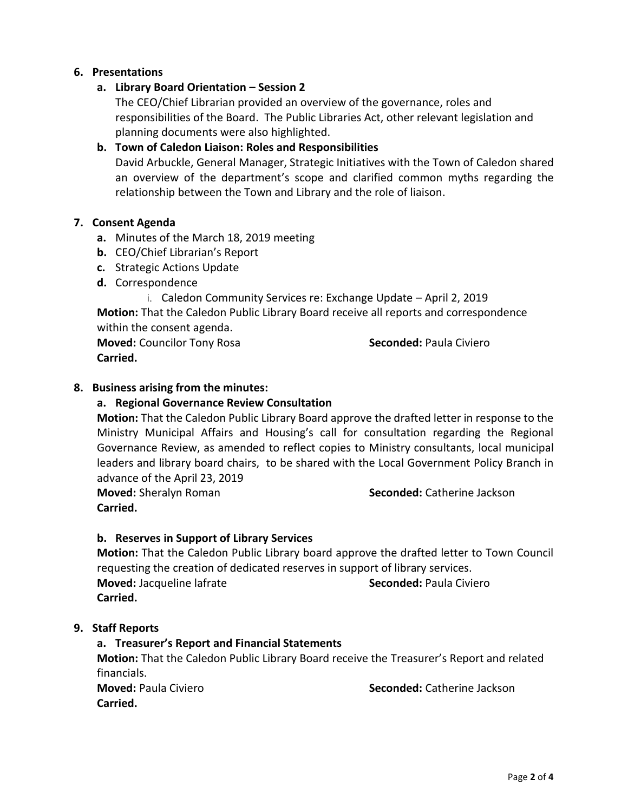#### **6. Presentations**

#### **a. Library Board Orientation – Session 2**

The CEO/Chief Librarian provided an overview of the governance, roles and responsibilities of the Board. The Public Libraries Act, other relevant legislation and planning documents were also highlighted.

# **b. Town of Caledon Liaison: Roles and Responsibilities**

David Arbuckle, General Manager, Strategic Initiatives with the Town of Caledon shared an overview of the department's scope and clarified common myths regarding the relationship between the Town and Library and the role of liaison.

#### **7. Consent Agenda**

- **a.** Minutes of the March 18, 2019 meeting
- **b.** CEO/Chief Librarian's Report
- **c.** Strategic Actions Update
- **d.** Correspondence
	- i. Caledon Community Services re: Exchange Update April 2, 2019

**Motion:** That the Caledon Public Library Board receive all reports and correspondence within the consent agenda.

**Moved:** Councilor Tony Rosa **Seconded:** Paula Civiero **Carried.** 

#### **8. Business arising from the minutes:**

#### **a. Regional Governance Review Consultation**

**Motion:** That the Caledon Public Library Board approve the drafted letter in response to the Ministry Municipal Affairs and Housing's call for consultation regarding the Regional Governance Review, as amended to reflect copies to Ministry consultants, local municipal leaders and library board chairs, to be shared with the Local Government Policy Branch in advance of the April 23, 2019

**Carried.**

**Moved:** Sheralyn Roman **Seconded:** Catherine Jackson

#### **b. Reserves in Support of Library Services**

**Motion:** That the Caledon Public Library board approve the drafted letter to Town Council requesting the creation of dedicated reserves in support of library services. **Moved:** Jacqueline lafrate **Seconded:** Paula Civiero **Carried.** 

#### **9. Staff Reports**

#### **a. Treasurer's Report and Financial Statements**

**Motion:** That the Caledon Public Library Board receive the Treasurer's Report and related financials.

**Carried.**

**Moved:** Paula Civiero **Seconded:** Catherine Jackson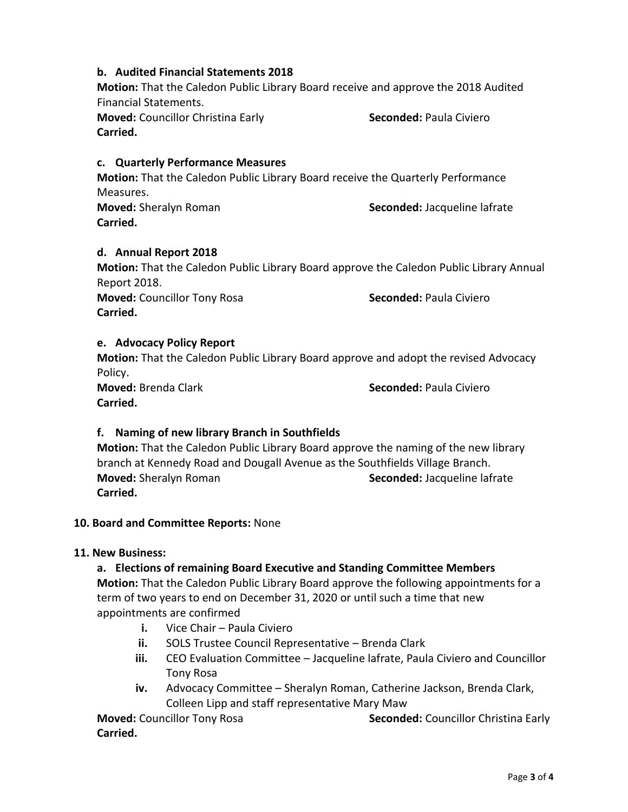# **b. Audited Financial Statements 2018**

**Motion:** That the Caledon Public Library Board receive and approve the 2018 Audited Financial Statements.

**Moved:** Councillor Christina Early **Seconded:** Paula Civiero **Carried.** 

# **c. Quarterly Performance Measures**

**Motion:** That the Caledon Public Library Board receive the Quarterly Performance Measures.

**Carried.** 

**Moved:** Sheralyn Roman **Seconded:** Jacqueline lafrate

# **d. Annual Report 2018**

**Motion:** That the Caledon Public Library Board approve the Caledon Public Library Annual Report 2018. **Moved:** Councillor Tony Rosa **Seconded:** Paula Civiero **Carried.**

# **e. Advocacy Policy Report**

**Motion:** That the Caledon Public Library Board approve and adopt the revised Advocacy Policy.

**Moved:** Brenda Clark **Seconded:** Paula Civiero

### **Carried.**

# **f. Naming of new library Branch in Southfields**

**Motion:** That the Caledon Public Library Board approve the naming of the new library branch at Kennedy Road and Dougall Avenue as the Southfields Village Branch. **Moved:** Sheralyn Roman **Seconded:** Jacqueline lafrate **Carried.** 

#### **10. Board and Committee Reports:** None

#### **11. New Business:**

#### **a. Elections of remaining Board Executive and Standing Committee Members**

**Motion:** That the Caledon Public Library Board approve the following appointments for a term of two years to end on December 31, 2020 or until such a time that new appointments are confirmed

- **i.** Vice Chair Paula Civiero
- **ii.** SOLS Trustee Council Representative Brenda Clark
- **iii.** CEO Evaluation Committee Jacqueline lafrate, Paula Civiero and Councillor Tony Rosa
- **iv.** Advocacy Committee Sheralyn Roman, Catherine Jackson, Brenda Clark, Colleen Lipp and staff representative Mary Maw

**Moved:** Councillor Tony Rosa **Seconded:** Councillor Christina Early **Carried.**